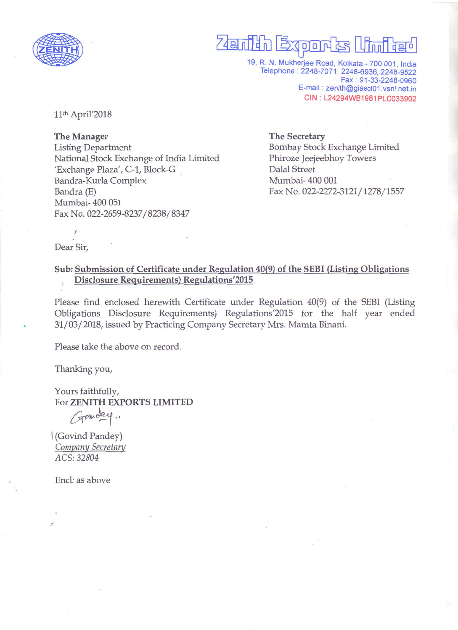

# Zenith Exports Wind

19, R. N. Mukherjee Road, Kolkata - 700 001, India Telephone: 2248-7071, 2248-6936, 2248-9522 Fax: 91-33-2248-0960 E-mail: zenith@giascl01.vsnl.net.in CIN: L24294WB1981PLC033902

11<sup>th</sup> April'2018

The Manager **Listing Department** National Stock Exchange of India Limited 'Exchange Plaza', C-1, Block-G Bandra-Kurla Complex Bandra (E) Mumbai-400 051 Fax No. 022-2659-8237/8238/8347

**The Secretary** Bombay Stock Exchange Limited Phiroze Jeejeebhoy Towers **Dalal Street** Mumbai-400 001 Fax No. 022-2272-3121/1278/1557

Dear Sir,

### Sub: Submission of Certificate under Regulation 40(9) of the SEBI (Listing Obligations **Disclosure Requirements) Regulations'2015**

Please find enclosed herewith Certificate under Regulation 40(9) of the SEBI (Listing Obligations Disclosure Requirements) Regulations'2015 for the half year ended 31/03/2018, issued by Practicing Company Secretary Mrs. Mamta Binani.

Please take the above on record.

Thanking you,

Yours faithfully, For ZENITH EXPORTS LIMITED

Gandey.

(Govind Pandey) Company Secretary ACS: 32804

Encl: as above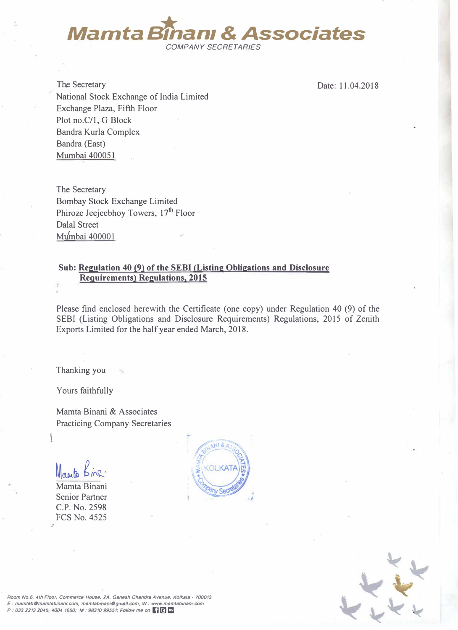

The Secretary National Stock Exchange of India Limited Exchange Plaza, Fifth Floor Plot no.C/1, G Block Bandra Kurla Complex Bandra (East) Mumbai 400051

Date: 11.04.2018

The Secretary Bombay Stock Exchange Limited Phiroze Jeejeebhoy Towers, 17<sup>th</sup> Floor Dalal Street Mumbai 400001

#### Sub: Regulation 40 (9) of the SEBI (Listing Obligations and Disclosure **Requirements) Regulations, 2015**

Please find enclosed herewith the Certificate (one copy) under Regulation 40 (9) of the SEBI (Listing Obligations and Disclosure Requirements) Regulations, 2015 of Zenith Exports Limited for the half year ended March, 2018.

Thanking you

Yours faithfully

Mamta Binani & Associates Practicing Company Secretaries

Macuta

., Mamta Binani Senior Partner C.P. No. 2598 FCS No. 4525





*Room No.6, 4th Floor. Commerce House. 2A, Ganesh Chandra Avenue. Kolkata • 100013 E: mamtabOmamtab1nan1.com. mamtabman,Ogrna1l.com. W: www.mamtablnani.com P : 033 2213 2045, 4004 1650; M : 98310 99551; Follow me on (} �* **Cl**